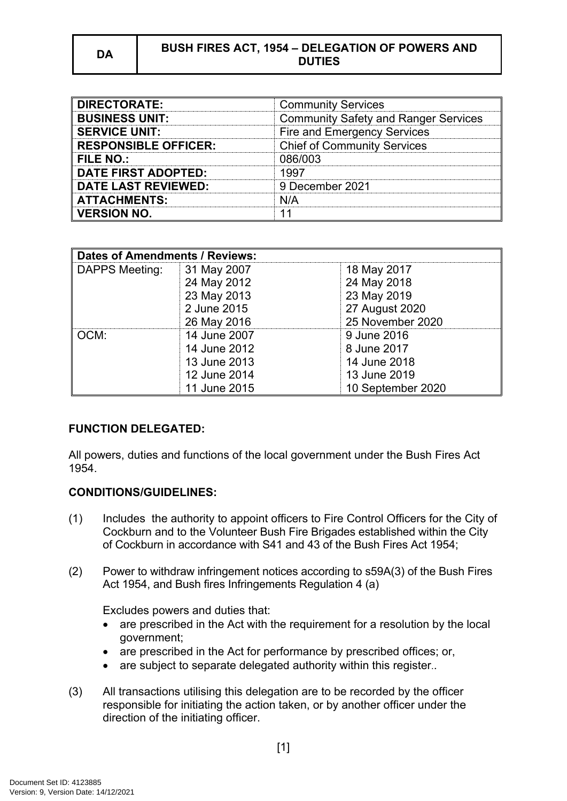## **DA BUSH FIRES ACT, 1954 – DELEGATION OF POWERS AND DUTIES**

| <b>DIRECTORATE:</b>         | <b>Community Services</b>                   |
|-----------------------------|---------------------------------------------|
| <b>BUSINESS UNIT:</b>       | <b>Community Safety and Ranger Services</b> |
| <b>SERVICE UNIT:</b>        | <b>Fire and Emergency Services</b>          |
| <b>RESPONSIBLE OFFICER:</b> | <b>Chief of Community Services</b>          |
| <b>FILE NO.:</b>            | 086/003                                     |
| DATE FIRST ADOPTED:         | 1997                                        |
| <b>DATE LAST REVIEWED:</b>  | 9 December 2021                             |
| <b>ATTACHMENTS:</b>         | \I/A                                        |
| <b>VERSION NO.</b>          |                                             |

| Dates of Amendments / Reviews: |              |                   |
|--------------------------------|--------------|-------------------|
| DAPPS Meeting:                 | 31 May 2007  | 18 May 2017       |
|                                | 24 May 2012  | 24 May 2018       |
|                                | 23 May 2013  | 23 May 2019       |
|                                | 2 June 2015  | 27 August 2020    |
|                                | 26 May 2016  | 25 November 2020  |
| OCM:                           | 14 June 2007 | 9 June 2016       |
|                                | 14 June 2012 | 8 June 2017       |
|                                | 13 June 2013 | 14 June 2018      |
|                                | 12 June 2014 | 13 June 2019      |
|                                | 11 June 2015 | 10 September 2020 |

#### **FUNCTION DELEGATED:**

All powers, duties and functions of the local government under the Bush Fires Act 1954.

#### **CONDITIONS/GUIDELINES:**

- (1) Includes the authority to appoint officers to Fire Control Officers for the City of Cockburn and to the Volunteer Bush Fire Brigades established within the City of Cockburn in accordance with S41 and 43 of the Bush Fires Act 1954;
- (2) Power to withdraw infringement notices according to s59A(3) of the Bush Fires Act 1954, and Bush fires Infringements Regulation 4 (a)

Excludes powers and duties that:

- are prescribed in the Act with the requirement for a resolution by the local government;
- are prescribed in the Act for performance by prescribed offices; or,
- are subject to separate delegated authority within this register..
- (3) All transactions utilising this delegation are to be recorded by the officer responsible for initiating the action taken, or by another officer under the direction of the initiating officer.